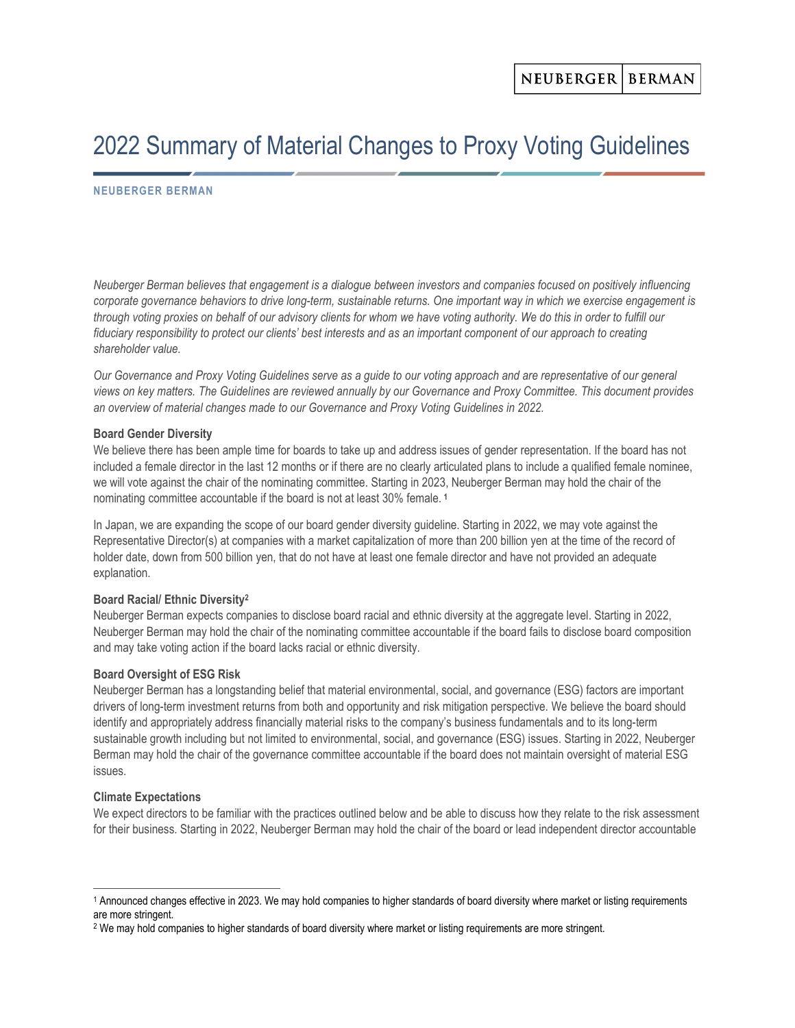# 2022 Summary of Material Changes to Proxy Voting Guidelines

## NEUBERGER BERMAN

Neuberger Berman believes that engagement is a dialogue between investors and companies focused on positively influencing corporate governance behaviors to drive long-term, sustainable returns. One important way in which we exercise engagement is through voting proxies on behalf of our advisory clients for whom we have voting authority. We do this in order to fulfill our fiduciary responsibility to protect our clients' best interests and as an important component of our approach to creating shareholder value.

Our Governance and Proxy Voting Guidelines serve as a guide to our voting approach and are representative of our general views on key matters. The Guidelines are reviewed annually by our Governance and Proxy Committee. This document provides an overview of material changes made to our Governance and Proxy Voting Guidelines in 2022.

### Board Gender Diversity

We believe there has been ample time for boards to take up and address issues of gender representation. If the board has not included a female director in the last 12 months or if there are no clearly articulated plans to include a qualified female nominee, we will vote against the chair of the nominating committee. Starting in 2023, Neuberger Berman may hold the chair of the nominating committee accountable if the board is not at least 30% female.<sup>1</sup>

In Japan, we are expanding the scope of our board gender diversity guideline. Starting in 2022, we may vote against the Representative Director(s) at companies with a market capitalization of more than 200 billion yen at the time of the record of holder date, down from 500 billion yen, that do not have at least one female director and have not provided an adequate explanation.

## Board Racial/ Ethnic Diversity<sup>2</sup>

Neuberger Berman expects companies to disclose board racial and ethnic diversity at the aggregate level. Starting in 2022, Neuberger Berman may hold the chair of the nominating committee accountable if the board fails to disclose board composition and may take voting action if the board lacks racial or ethnic diversity.

## Board Oversight of ESG Risk

Neuberger Berman has a longstanding belief that material environmental, social, and governance (ESG) factors are important drivers of long-term investment returns from both and opportunity and risk mitigation perspective. We believe the board should identify and appropriately address financially material risks to the company's business fundamentals and to its long-term sustainable growth including but not limited to environmental, social, and governance (ESG) issues. Starting in 2022, Neuberger Berman may hold the chair of the governance committee accountable if the board does not maintain oversight of material ESG issues.

### Climate Expectations

We expect directors to be familiar with the practices outlined below and be able to discuss how they relate to the risk assessment for their business. Starting in 2022, Neuberger Berman may hold the chair of the board or lead independent director accountable

<sup>1</sup> Announced changes effective in 2023. We may hold companies to higher standards of board diversity where market or listing requirements are more stringent.

 $^2$  We may hold companies to higher standards of board diversity where market or listing requirements are more stringent.